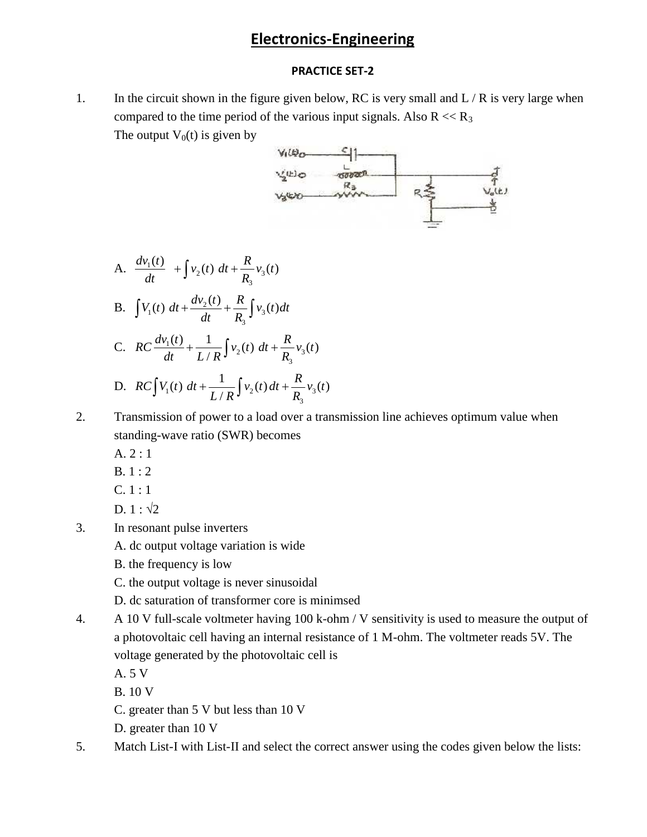## **Electronics-Engineering**

#### **PRACTICE SET-2**

1. In the circuit shown in the figure given below, RC is very small and  $L/R$  is very large when compared to the time period of the various input signals. Also  $R \ll R_3$ The output  $V_0(t)$  is given by



- A.  $\frac{dv_1(t)}{dt} + \int v_2(t) dt + \frac{R}{R} v_3(t)$ 3 **Electronics-Enginee**<br> **PRACTICE SET-2**<br>
nown in the figure given below, RC is<br>
t) is given by<br> *V<sub>I</sub>(B<sub>O</sub>* S<sub>I</sub>)<br> **V<sub>I</sub>**(B<sub>O</sub><sup>S</sup>)<br> **V<sub>I</sub>**(B<sub>O</sub><sup>S</sup>)<br> **V<sub>I</sub>**(B<sub>O</sub><sup>S</sup>)<br> **V<sub>I</sub>**(B<sub>O</sub><sup>S</sup>)<br> **V<sub>I</sub>**(B<sub>O</sub><sup>R<sub>3</sub>)<br> **V<sub>I</sub>**(B<sub>O</sub><sup>R<sub>3</sub></sup></sup> **Electronics-Engineering**<br> **PRACTICE SET-2**<br>
circuit shown in the figure given below, RC is very small and L/R<br>
area to the time period of the various input signals. Also R << R<sub>3</sub><br>
type  $\frac{C_1}{\sqrt{2}}$ <br>  $\frac{C_2}{\sqrt{2}}$ <br>  $\$ B.  $\int V_1(t) dt + \frac{dv_2(t)}{dt} + \frac{R}{R} \int v_3(t) dt$ tput V<sub>0</sub>(t) is given by<br>  $V_1 \& \bigotimes \bigg\{\bigg\}$ <br>  $V_2 \& \bigotimes \bigg\}$ <br>  $V_3 \& \bigotimes \bigg\}$ <br>  $V_3 \& \bigotimes \bigg\}$ <br>  $V_4 \& \bigotimes \bigg\}$ <br>  $V_5 \& \bigotimes \bigg\}$ <br>  $V_6 \& \bigotimes \bigg\{ \bigg\}$ <br>  $V_3(t)$ <br>  $V_1(t) dt + \frac{dv_2(t)}{dt} + \frac{R}{R_3} \int v_3(t) dt$ 3 **Electronics-Engineering**<br> **PRACTICE SET-2**<br>
ircuit shown in the figure given below, RC is very small and L/F<br>
ed to the time period of the various input signals. Also R << R<sub>3</sub><br>
put V<sub>0</sub>(t) is given by<br>  $V_0(E_0) = V_0(E_0)$ **Electronics-Engineeri**<br> **PRACTICE SET-2**<br>
circuit shown in the figure given below, RC is ver<br>
ared to the time period of the various input signals.<br>
v t v or  $V_0(t)$  is given by<br>  $V_1(t) = V_2(t) dt + \frac{R}{R_3} v_3(t)$ <br>  $V_3(t) = V_3$ **Electronics-Engineering**<br> **PRACTICE SET-2**<br>
e circuit shown in the figure given below, RC is very small and L/R is very large when<br>
pared to the time period of the various input signals. Also R << R,<br>
output V<sub>o</sub>(t) is g C.  $RC \frac{dv_1(t)}{dt} + \frac{1}{\sqrt{1-\frac{v_2}{c^2}}} v_2(t) dt + \frac{1}{\sqrt{1-\frac{v_2}{c^2}}}$  $\frac{R}{R_3}v_3(t)$ <br>  $\frac{R}{R_3} \int v_3(t) dt$ <br>  $\frac{R}{R_3} \int v_3(t) dt$ <br>  $\frac{R}{R_3} \int v_3(t) dt$ <br>  $\int v_2(t) dt + \frac{R}{R_3}v_3(t)$ 3 **Electronics-Engineering**<br> **PRACTICE SET-2**<br>
it shown in the figure given below, RC is very<br>
o the time period of the various input signals. A<br>  $V_0(t)$  is given by<br>  $V_0(t)$ <br>  $V_1(t) = V_0(t) + V_1(t) + V_2(t) + V_3(t)$ <br>  $V_2(t) = V_1(t) + V$  $/R^{J^2}$   $R_3$ **Electronics-Engineering**<br> **PRACTICE SET-2**<br>
reuit shown in the figure given below, RC is very small and L/R is very 1<br>
d to the time period of the various input signals. Also R << R<sub>3</sub><br>
v4W<sub>0</sub> = -<br>  $\frac{V_2(t_1)}{R}$ <br>  $\frac{V$ **Electronics-Engineering**<br> **PRACTICE SET-2**<br> **RECOUSE VALUATE SET-2**<br> **RECOUSE V** to the time period of the various input signals. Also<br>
output V<sub>0</sub>(t) is given by<br>  $\frac{V_2(k)}{V_2(k)} = \frac{V_2(k)}{\sqrt{2}}$ <br>  $\frac{V_2(k)}{\sqrt{2}} = \frac{V_2(k)}{\$ **PRACTICE SET-2**<br>
wit shown in the figure given below, RC is very small and L/R is very l<br>
to the time period of the various input signals. Also R << R<sub>3</sub><br>
with  $V_0(t)$  is given by<br>  $V_0(t) = \frac{C_1}{\sqrt{2(12C_1 + C_2)}}$ <br>  $V_2(t) =$ A.  $\frac{dv_1(t)}{dt} + \int v_2(t) dt + \frac{R}{R_3} v_3(t)$ <br>
B.  $\int V_1(t) dt + \frac{dv_2(t)}{dt} + \frac{R}{R_3} \int v_3(t) dt$ <br>
C.  $RC \frac{dv_1(t)}{dt} + \frac{1}{L/R} \int v_2(t) dt + \frac{R}{R_3} v_3(t)$ <br>
D.  $RC \int V_1(t) dt + \frac{1}{L/R} \int v_2(t) dt + \frac{R}{R_3} v_3(t)$ <br>
Transmission of power to a load ove 3 1  $\int_{\alpha}^{\beta} f(x) dx + R_{\alpha}^{\beta} f(x) dx$ (i) the figure given below, RC is very small and<br>  $V_0(t)$  is given by<br>  $V_0(t)$  is given by<br>  $V_0(t)$  is given by<br>  $V_0(t) = \frac{V_0(t)}{V_0}$ <br>  $V_0(t) = \frac{V_0(t)}{V_0}$ <br>  $V_0(t) = \frac{V_0(t)}{V_0}$ <br>  $V_0(t) = \frac{V_0(t)}{V_0}$ <br>  $V_0(t) = \frac{R_0}{V_$  $/R^{J^{\prime}2^{N}}$   $R_3^{3N}$  $R_{\text{in}}(t)$ *RC* is very small pared to the time period of the various input signals. Also I<br>
pared to the time period of the various input signals. Also I<br>
output V<sub>0</sub>(t) is given by<br>  $V_1 \& Q_2 \& Q_3 \& Q_4 \& Q_5 \& Q_6 \& Q_7 \&$ **Electronics-Engineering**<br> **PRACTICE SET-2**<br>
Figure is the figure given below, RC is very small and L/R is very large when<br>
dd to the time period of the various input signals. Also R << R<sub>3</sub><br>
put V<sub>o</sub>(t) is given by<br>  $V_{\$
- 2. Transmission of power to a load over a transmission line achieves optimum value when standing-wave ratio (SWR) becomes
	- A. 2 : 1
	- B. 1 : 2
	- C. 1 : 1
	- D.  $1 : \sqrt{2}$
- 3. In resonant pulse inverters

A. dc output voltage variation is wide

- B. the frequency is low
- C. the output voltage is never sinusoidal
- D. dc saturation of transformer core is minimsed
- 4. A 10 V full-scale voltmeter having 100 k-ohm / V sensitivity is used to measure the output of a photovoltaic cell having an internal resistance of 1 M-ohm. The voltmeter reads 5V. The voltage generated by the photovoltaic cell is
	- A. 5 V
	- B. 10 V
	- C. greater than 5 V but less than 10 V
	- D. greater than 10 V
- 5. Match List-I with List-II and select the correct answer using the codes given below the lists: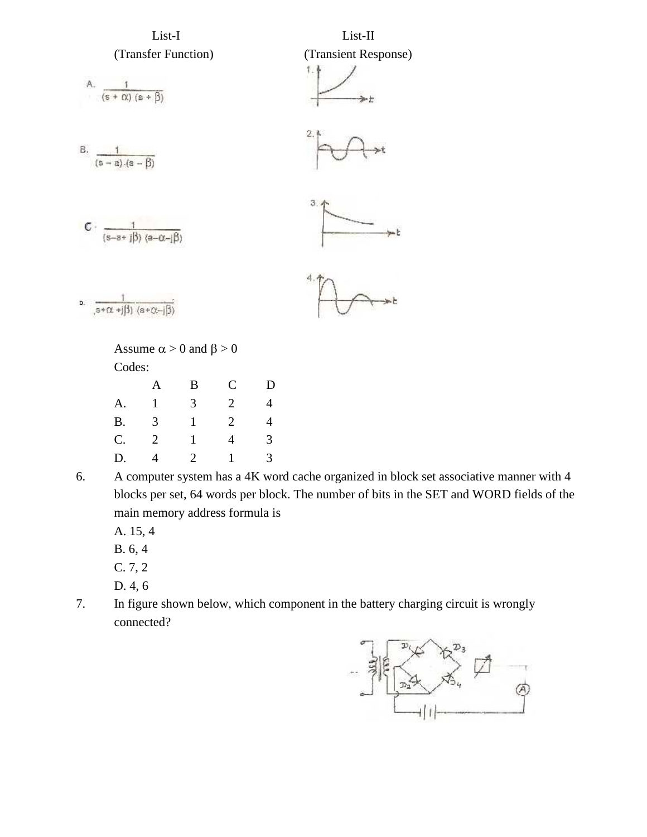

6. A computer system has a 4K word cache organized in block set associative manner with 4 blocks per set, 64 words per block. The number of bits in the SET and WORD fields of the main memory address formula is

A. 15, 4

B. 6, 4

- C. 7, 2
- D. 4, 6
- 7. In figure shown below, which component in the battery charging circuit is wrongly connected?

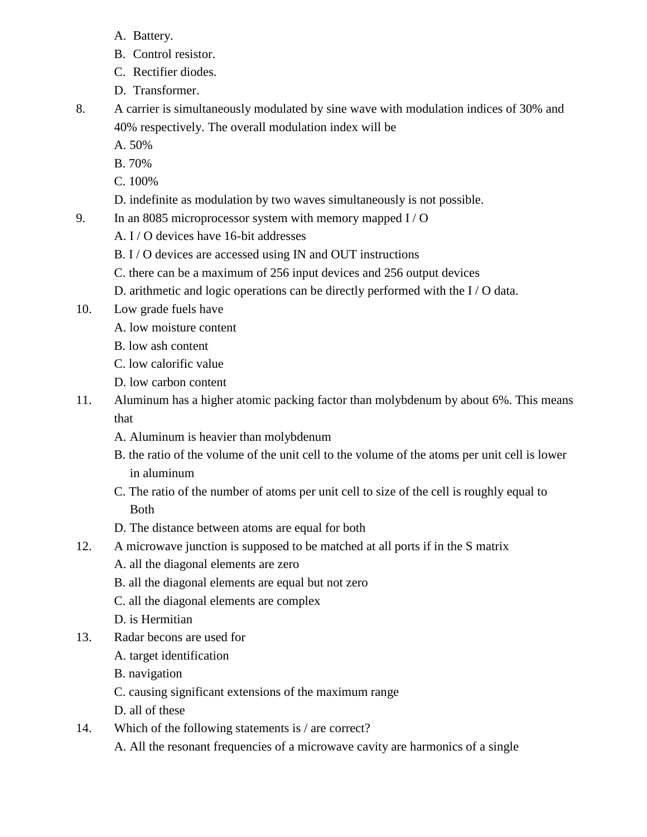- A. Battery.
- B. Control resistor.
- C. Rectifier diodes.
- D. Transformer.
- 8. A carrier is simultaneously modulated by sine wave with modulation indices of 30% and 40% respectively. The overall modulation index will be
	- A. 50%
	- B. 70%
	- C. 100%
	- D. indefinite as modulation by two waves simultaneously is not possible.
- 9. In an 8085 microprocessor system with memory mapped I / O
	- A. I / O devices have 16-bit addresses
	- B. I / O devices are accessed using IN and OUT instructions
	- C. there can be a maximum of 256 input devices and 256 output devices
	- D. arithmetic and logic operations can be directly performed with the I / O data.
- 10. Low grade fuels have
	- A. low moisture content
	- B. low ash content
	- C. low calorific value
	- D. low carbon content
- 11. Aluminum has a higher atomic packing factor than molybdenum by about 6%. This means that
	- A. Aluminum is heavier than molybdenum
	- B. the ratio of the volume of the unit cell to the volume of the atoms per unit cell is lower in aluminum
	- C. The ratio of the number of atoms per unit cell to size of the cell is roughly equal to Both
	- D. The distance between atoms are equal for both
- 12. A microwave junction is supposed to be matched at all ports if in the S matrix
	- A. all the diagonal elements are zero
	- B. all the diagonal elements are equal but not zero
	- C. all the diagonal elements are complex
	- D. is Hermitian
- 13. Radar becons are used for
	- A. target identification
	- B. navigation
	- C. causing significant extensions of the maximum range
	- D. all of these
- 14. Which of the following statements is / are correct?
	- A. All the resonant frequencies of a microwave cavity are harmonics of a single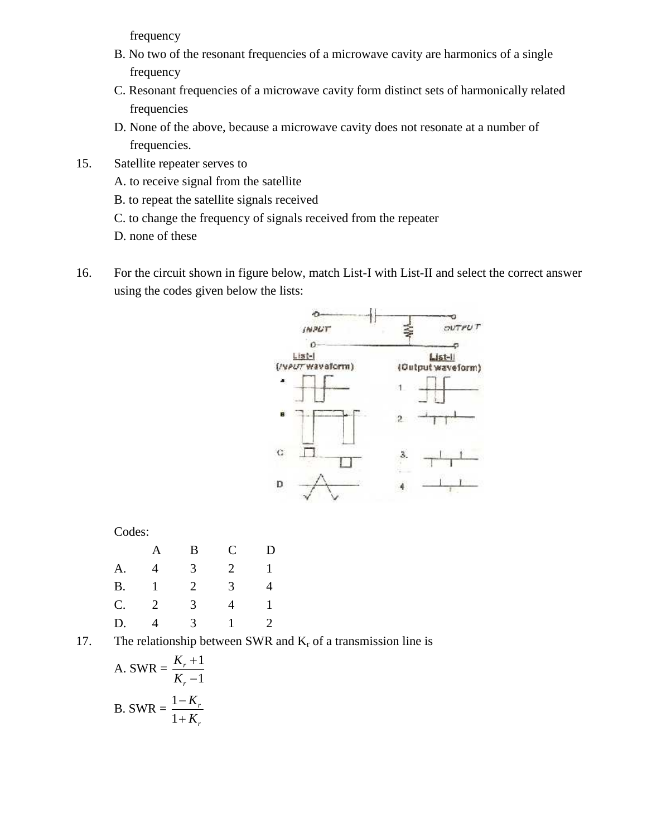frequency

- B. No two of the resonant frequencies of a microwave cavity are harmonics of a single frequency
- C. Resonant frequencies of a microwave cavity form distinct sets of harmonically related frequencies
- D. None of the above, because a microwave cavity does not resonate at a number of frequencies.
- 15. Satellite repeater serves to
	- A. to receive signal from the satellite
	- B. to repeat the satellite signals received
	- C. to change the frequency of signals received from the repeater
	- D. none of these
- 16. For the circuit shown in figure below, match List-I with List-II and select the correct answer using the codes given below the lists:



Codes:

|  |        | A B C    | D |  |
|--|--------|----------|---|--|
|  |        | A. 4 3 2 |   |  |
|  |        | B. 1 2 3 |   |  |
|  | C. 2 3 | 4        |   |  |
|  |        | D. 4 3 1 |   |  |

17. The relationship between SWR and  $K_r$  of a transmission line is

A. SWR = 
$$
\frac{K_r + 1}{K_r - 1}
$$
  
B. SWR = 
$$
\frac{1 - K_r}{1 + K_r}
$$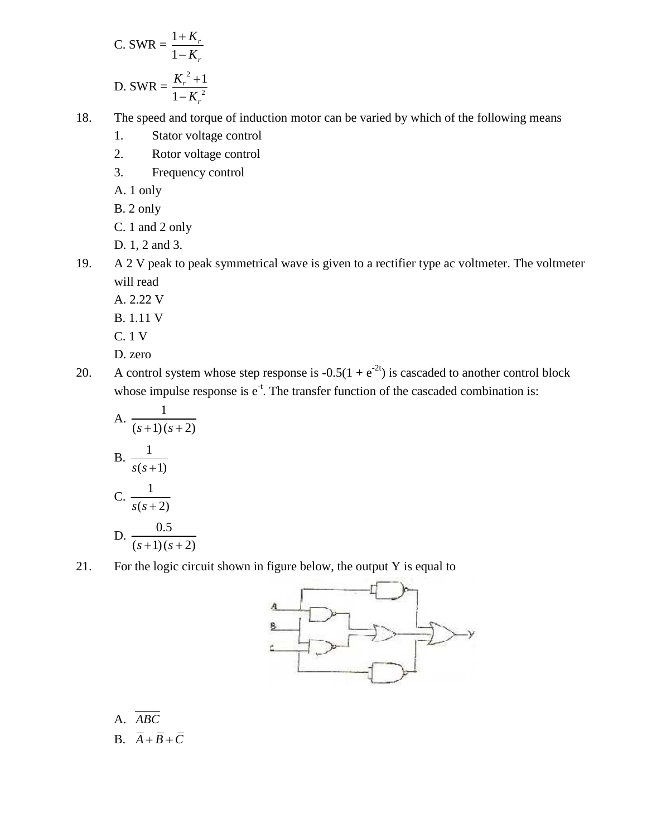C. SWR = 
$$
\frac{1 + K_r}{1 - K_r}
$$
  
D. SWR =  $\frac{K_r^2 + 1}{1 - K_r^2}$ 

18. The speed and torque of induction motor can be varied by which of the following means

- 1. Stator voltage control
- 2. Rotor voltage control
- 3. Frequency control
- A. 1 only
- B. 2 only
- C. 1 and 2 only
- D. 1, 2 and 3.
- 19. A 2 V peak to peak symmetrical wave is given to a rectifier type ac voltmeter. The voltmeter will read **Example 12**<br> **Example 12**<br> **Example 12**<br> **Example 12**<br> **Example 12**<br> **Example 12**<br> **Example 12**<br> **Example 12**<br> **Example 12**<br> **Example 12**<br> **Example 12**<br> **Example 12**<br> **Example 12**<br> **Example 12**<br> **Example 12**<br> **Example 12** 
	- A. 2.22 V
	- B. 1.11 V
	- C. 1 V
	- D. zero
- 20. A control system whose step response is  $-0.5(1 + e^{-2t})$  is cascaded to another control block whose impulse response is  $e^{-t}$ . The transfer function of the cascaded combination is:

\n- 2. Root of voltage control
\n- 3. Frequency control
\n- A. 1 only
\n- B. 2 only
\n- C. 1 and 2 only
\n- D. 1, 2 and 3.
\n- A. 2 V peak to peak symmetrical wave is given to a will read
\n- A. 2.22 V
\n- B. 1.11 V
\n- C. 1 V
\n- D. zero
\n- A control system whose step response is 
$$
-0.5(1 + e)
$$
 whose impulse response is  $e^{-t}$ . The transfer function
\n- A.  $\frac{1}{(s+1)(s+2)}$
\n- B.  $\frac{1}{s(s+1)}$
\n- C.  $\frac{1}{s(s+2)}$
\n- D.  $\frac{0.5}{(s+1)(s+2)}$
\n- For the logic circuit shown in figure below, the out
\n

21. For the logic circuit shown in figure below, the output Y is equal to



A. *ABC*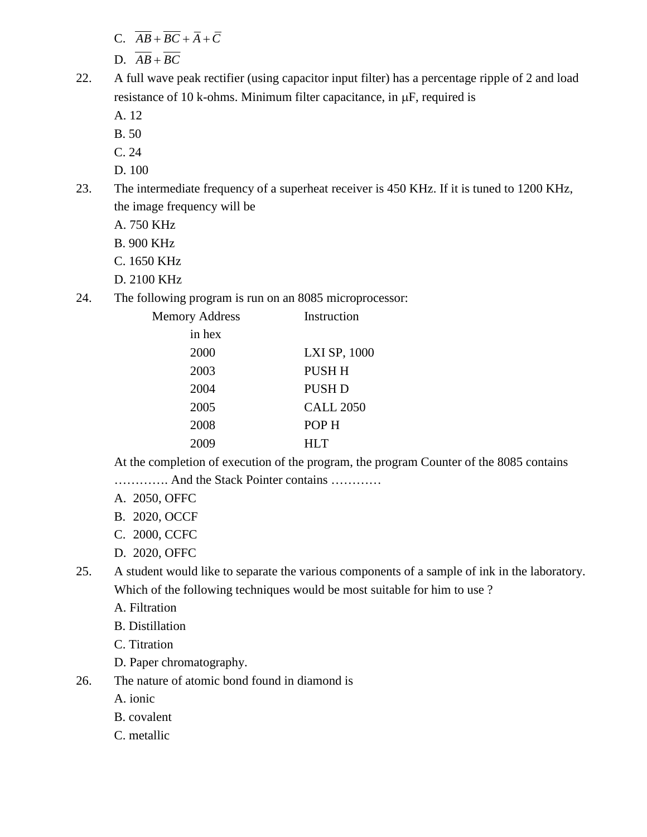- 
- 
- C.  $\overline{AB} + \overline{BC} + \overline{A} + \overline{C}$ <br>D.  $\overline{AB} + \overline{BC}$ <br>A full wave peak rectifier (using capacitor input filter) has a percentage ripple of 2 and load<br>resistance of 10 k-ohms. Minimum filter capacitance, in  $\mu$ F, required i C.  $\overline{AB} + \overline{BC} + \overline{A} + \overline{C}$ <br>
D.  $\overline{AB} + \overline{BC}$ <br>
A full wave peak rectifier (using capacitor input filter) has a percesistance of 10 k-ohms. Minimum filter capacitance, in  $\mu$ F, requ<br>
A. 12<br>
B. 50<br>
C. 24 22. A full wave peak rectifier (using capacitor input filter) has a percentage ripple of 2 and load resistance of 10 k-ohms. Minimum filter capacitance, in  $\mu$ F, required is
	- A. 12
	- B. 50
	- C. 24
	- D. 100
- 23. The intermediate frequency of a superheat receiver is 450 KHz. If it is tuned to 1200 KHz, the image frequency will be
	- A. 750 KHz
	- B. 900 KHz
	- C. 1650 KHz
	- D. 2100 KHz
- 24. The following program is run on an 8085 microprocessor:

| <b>Memory Address</b> | Instruction      |  |
|-----------------------|------------------|--|
| in hex                |                  |  |
| 2000                  | LXI SP, 1000     |  |
| 2003                  | PUSH H           |  |
| 2004                  | <b>PUSH D</b>    |  |
| 2005                  | <b>CALL 2050</b> |  |
| 2008                  | POP H            |  |
| 2009                  | <b>HLT</b>       |  |
|                       |                  |  |

At the completion of execution of the program, the program Counter of the 8085 contains

- …………. And the Stack Pointer contains …………
- A. 2050, OFFC
- B. 2020, OCCF
- C. 2000, CCFC
- D. 2020, OFFC
- 25. A student would like to separate the various components of a sample of ink in the laboratory. Which of the following techniques would be most suitable for him to use?
	- A. Filtration
	- B. Distillation
	- C. Titration
	- D. Paper chromatography.
- 26. The nature of atomic bond found in diamond is
	- A. ionic
	- B. covalent
	- C. metallic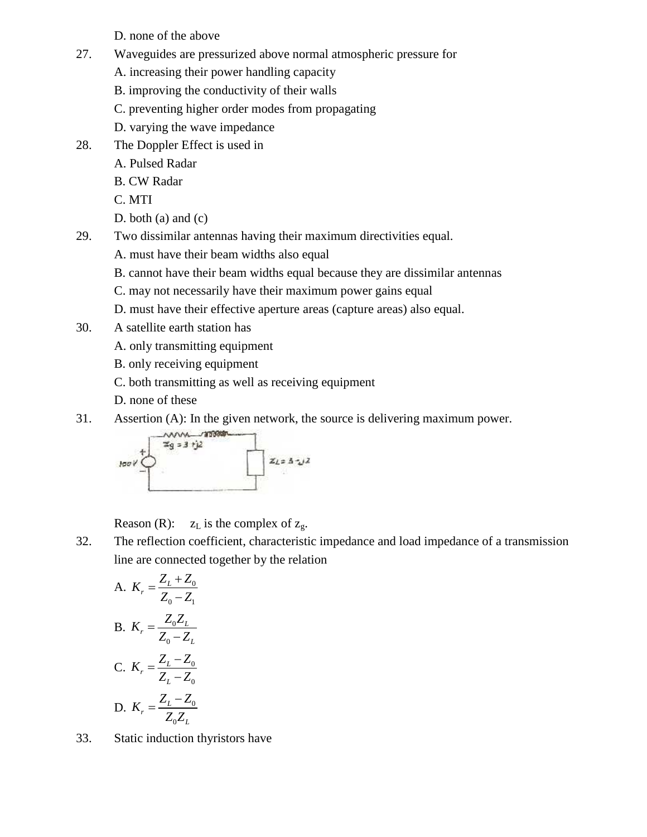D. none of the above

- 27. Waveguides are pressurized above normal atmospheric pressure for
	- A. increasing their power handling capacity
	- B. improving the conductivity of their walls
	- C. preventing higher order modes from propagating
	- D. varying the wave impedance
- 28. The Doppler Effect is used in
	- A. Pulsed Radar
	- B. CW Radar
	- C. MTI
	- D. both (a) and (c)
- 29. Two dissimilar antennas having their maximum directivities equal.
	- A. must have their beam widths also equal
	- B. cannot have their beam widths equal because they are dissimilar antennas
	- C. may not necessarily have their maximum power gains equal
	- D. must have their effective aperture areas (capture areas) also equal.
- 30. A satellite earth station has
	- A. only transmitting equipment
	- B. only receiving equipment
	- C. both transmitting as well as receiving equipment
	- D. none of these
- 31. Assertion (A): In the given network, the source is delivering maximum power.



Reason (R):  $z_L$  is the complex of  $z_g$ .

32. The reflection coefficient, characteristic impedance and load impedance of a transmission line are connected together by the relation

A. 
$$
K_r = \frac{Z_L + Z_0}{Z_0 - Z_1}
$$
  
\nB.  $K_r = \frac{Z_0 Z_L}{Z_0 - Z_L}$   
\nC.  $K_r = \frac{Z_L - Z_0}{Z_L - Z_0}$   
\nD.  $K_r = \frac{Z_L - Z_0}{Z_0 Z_L}$ 

33. Static induction thyristors have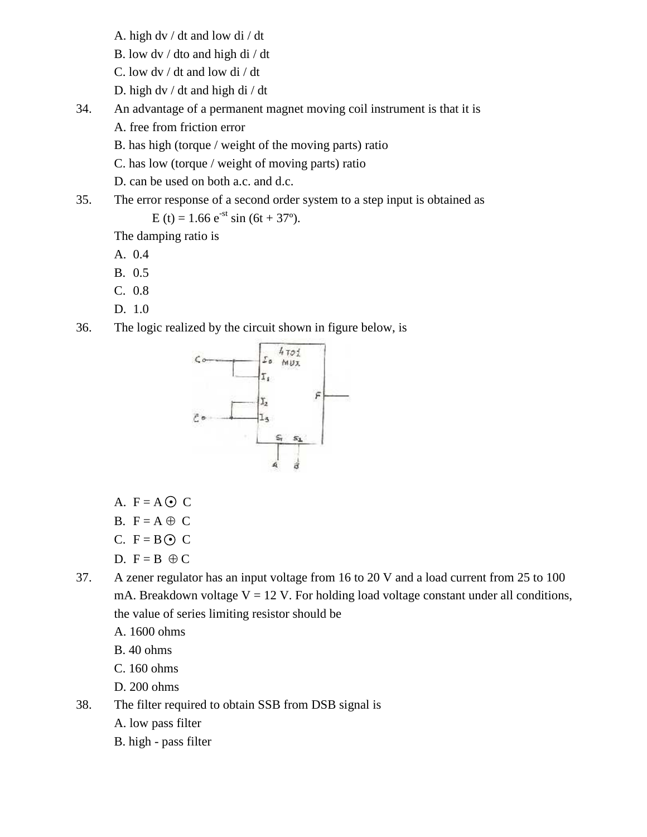- A. high dv / dt and low di / dt
- B. low dv / dto and high di / dt
- C. low dv / dt and low di / dt
- D. high dv / dt and high di / dt
- 34. An advantage of a permanent magnet moving coil instrument is that it is
	- A. free from friction error
	- B. has high (torque / weight of the moving parts) ratio
	- C. has low (torque / weight of moving parts) ratio

D. can be used on both a.c. and d.c.

35. The error response of a second order system to a step input is obtained as

E (t) = 1.66  $e^{-st}$  sin (6t + 37°).

The damping ratio is

- A. 0.4
- B. 0.5
- C. 0.8
- D. 1.0
- 36. The logic realized by the circuit shown in figure below, is



- A.  $F = A \odot C$
- B.  $F = A \oplus C$
- C.  $F = B \odot C$
- D.  $F = B \oplus C$
- 37. A zener regulator has an input voltage from 16 to 20 V and a load current from 25 to 100 mA. Breakdown voltage  $V = 12$  V. For holding load voltage constant under all conditions, the value of series limiting resistor should be
	- A. 1600 ohms
	- B. 40 ohms
	- C. 160 ohms
	- D. 200 ohms
- 38. The filter required to obtain SSB from DSB signal is
	- A. low pass filter
	- B. high pass filter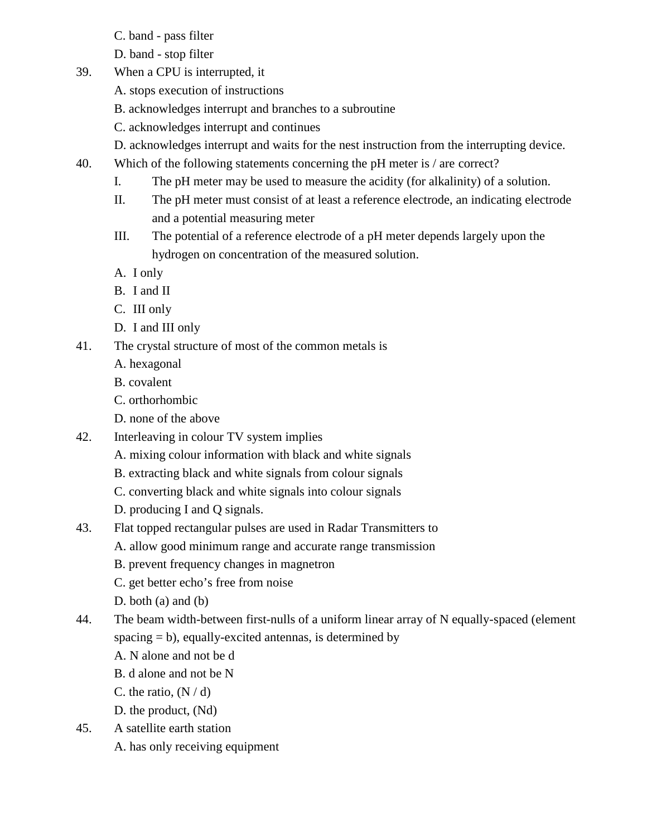- C. band pass filter
- D. band stop filter
- 39. When a CPU is interrupted, it
	- A. stops execution of instructions
	- B. acknowledges interrupt and branches to a subroutine
	- C. acknowledges interrupt and continues
	- D. acknowledges interrupt and waits for the nest instruction from the interrupting device.
- 40. Which of the following statements concerning the pH meter is / are correct?
	- I. The pH meter may be used to measure the acidity (for alkalinity) of a solution.
	- II. The pH meter must consist of at least a reference electrode, an indicating electrode and a potential measuring meter
	- III. The potential of a reference electrode of a pH meter depends largely upon the hydrogen on concentration of the measured solution.
	- A. I only
	- B. I and II
	- C. III only
	- D. I and III only
- 41. The crystal structure of most of the common metals is
	- A. hexagonal
	- B. covalent
	- C. orthorhombic
	- D. none of the above
- 42. Interleaving in colour TV system implies
	- A. mixing colour information with black and white signals
	- B. extracting black and white signals from colour signals
	- C. converting black and white signals into colour signals
	- D. producing I and Q signals.
- 43. Flat topped rectangular pulses are used in Radar Transmitters to
	- A. allow good minimum range and accurate range transmission
	- B. prevent frequency changes in magnetron
	- C. get better echo's free from noise
	- D. both (a) and (b)
- 44. The beam width-between first-nulls of a uniform linear array of N equally-spaced (element spacing  $= b$ ), equally-excited antennas, is determined by
	- A. N alone and not be d
	- B. d alone and not be N
	- C. the ratio,  $(N/d)$
	- D. the product, (Nd)
- 45. A satellite earth station
	- A. has only receiving equipment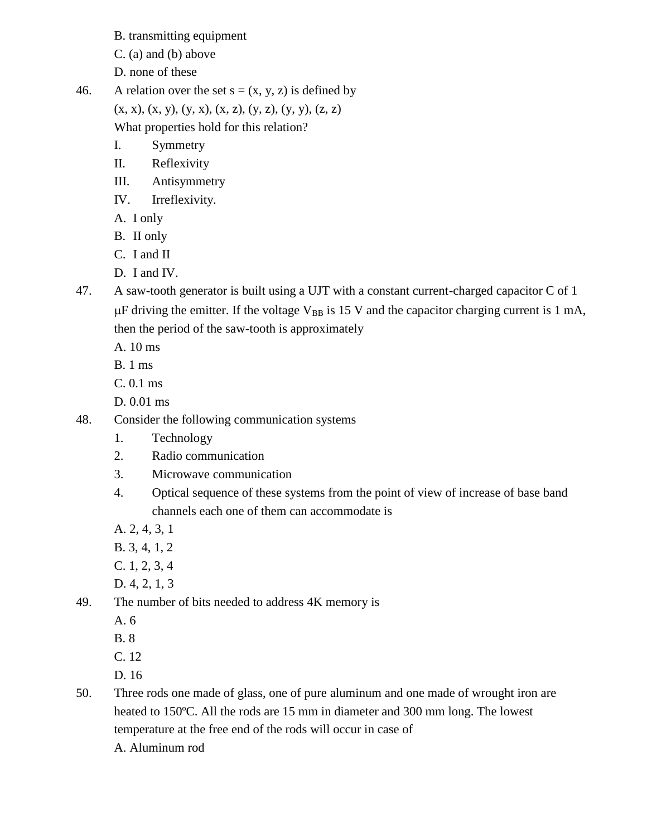B. transmitting equipment

C. (a) and (b) above

- D. none of these
- 46. A relation over the set  $s = (x, y, z)$  is defined by  $(x, x), (x, y), (y, x), (x, z), (y, z), (y, y), (z, z)$ What properties hold for this relation?
	- I. Symmetry
	- II. Reflexivity
	- III. Antisymmetry
	- IV. Irreflexivity.
	- A. I only
	- B. II only
	- C. I and II
	- D. I and IV.
- 47. A saw-tooth generator is built using a UJT with a constant current-charged capacitor C of 1  $\mu$ F driving the emitter. If the voltage V<sub>BB</sub> is 15 V and the capacitor charging current is 1 mA, then the period of the saw-tooth is approximately
	- A. 10 ms
	- B. 1 ms
	- C. 0.1 ms
	- D. 0.01 ms
- 48. Consider the following communication systems
	- 1. Technology
	- 2. Radio communication
	- 3. Microwave communication
	- 4. Optical sequence of these systems from the point of view of increase of base band channels each one of them can accommodate is
	- A. 2, 4, 3, 1
	- B. 3, 4, 1, 2
	- C. 1, 2, 3, 4
	- D. 4, 2, 1, 3
- 49. The number of bits needed to address 4K memory is
	- A. 6
	- B. 8
	- C. 12
	- D. 16
- 50. Three rods one made of glass, one of pure aluminum and one made of wrought iron are heated to 150ºC. All the rods are 15 mm in diameter and 300 mm long. The lowest temperature at the free end of the rods will occur in case of A. Aluminum rod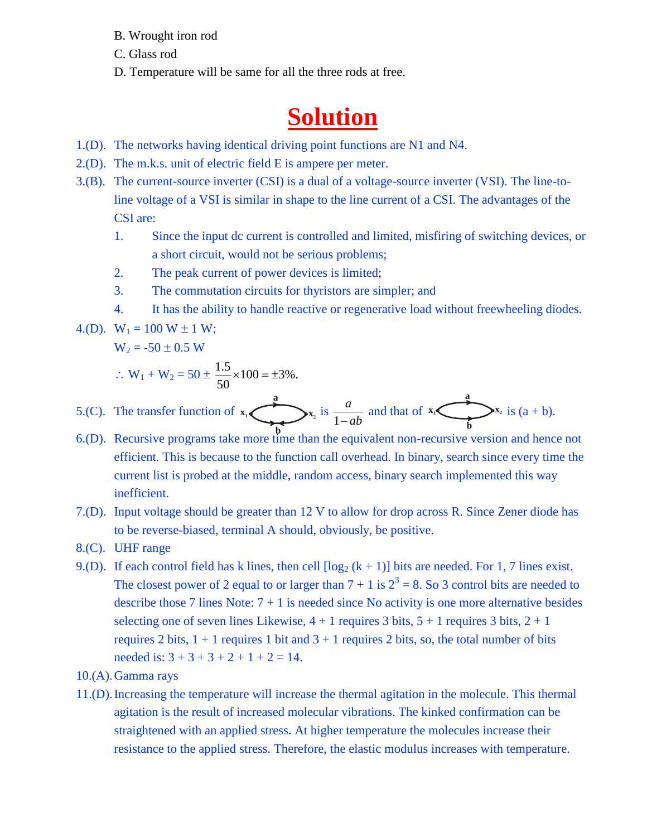- B. Wrought iron rod
- C. Glass rod
- D. Temperature will be same for all the three rods at free.

# **Solution**

- 1.(D). The networks having identical driving point functions are N1 and N4.
- 2.(D). The m.k.s. unit of electric field E is ampere per meter.
- 3.(B). The current-source inverter (CSI) is a dual of a voltage-source inverter (VSI). The line-toline voltage of a VSI is similar in shape to the line current of a CSI. The advantages of the CSI are: D. Temperature will be same for all the three rods at free.<br> **Solution**<br>
The networks having identical driving point functions are N1<br>
The m.k.s. unit of electric field E is ampere per meter.<br>
The current-source inverter same for all the three rods at free.<br> **Solution**<br>
Lentical driving point functions are N1 and N4.<br>
Figure 1: The sample per meter.<br>
Exerce (CSI) is a dual of a voltage-source inverter (VSI). The line-to-<br>
similar in shape
	- 1. Since the input dc current is controlled and limited, misfiring of switching devices, or a short circuit, would not be serious problems;
	- 2. The peak current of power devices is limited;
	- 3. The commutation circuits for thyristors are simpler; and
	- 4. It has the ability to handle reactive or regenerative load without freewheeling diodes.

4.(D). 
$$
W_1 = 100 W \pm 1 W
$$
;

$$
W_2 = -50 \pm 0.5 W
$$

$$
\therefore W_1 + W_2 = 50 \pm \frac{1.5}{50} \times 100 = \pm 3\%.
$$

5.(C). The transfer function of 
$$
x_1
$$
  $\underbrace{x_2}_{h}$  is  $\frac{a}{1 - ab}$  and that of  $x_1$   $\underbrace{x_2}_{h}$  is  $(a + b)$ .

- **b** 6.(D). Recursive programs take more time than the equivalent non-recursive version and hence not efficient. This is because to the function call overhead. In binary, search since every time the current list is probed at the middle, random access, binary search implemented this way inefficient.
- 7.(D). Input voltage should be greater than 12 V to allow for drop across R. Since Zener diode has to be reverse-biased, terminal A should, obviously, be positive.
- 8.(C). UHF range
- 9.(D). If each control field has k lines, then cell  $\lceil \log_2 (k + 1) \rceil$  bits are needed. For 1, 7 lines exist. The closest power of 2 equal to or larger than  $7 + 1$  is  $2^3 = 8$ . So 3 control bits are needed to describe those 7 lines Note:  $7 + 1$  is needed since No activity is one more alternative besides selecting one of seven lines Likewise,  $4 + 1$  requires 3 bits,  $5 + 1$  requires 3 bits,  $2 + 1$ requires 2 bits,  $1 + 1$  requires 1 bit and  $3 + 1$  requires 2 bits, so, the total number of bits needed is:  $3 + 3 + 3 + 2 + 1 + 2 = 14$ .
- 10.(A).Gamma rays
- 11.(D).Increasing the temperature will increase the thermal agitation in the molecule. This thermal agitation is the result of increased molecular vibrations. The kinked confirmation can be straightened with an applied stress. At higher temperature the molecules increase their resistance to the applied stress. Therefore, the elastic modulus increases with temperature.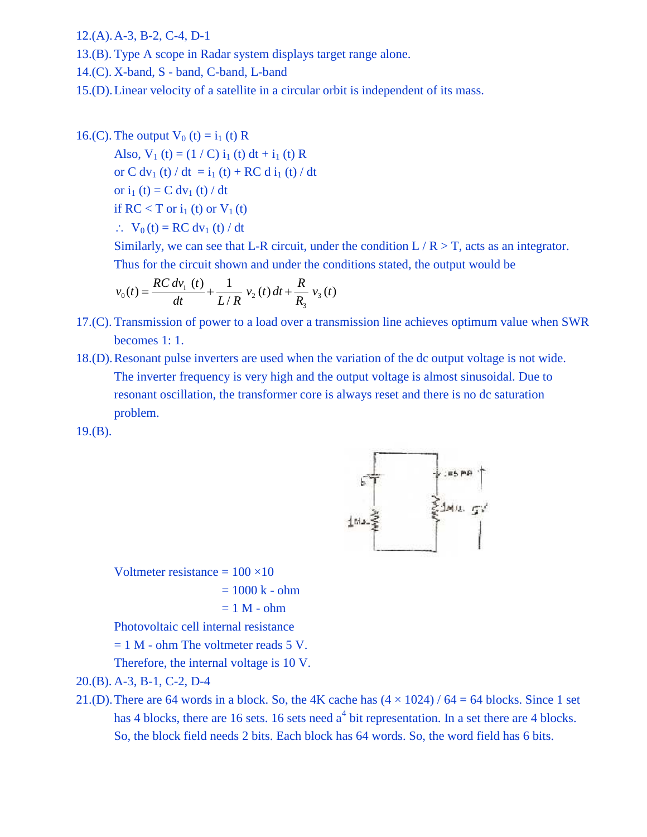12.(A).A-3, B-2, C-4, D-1

- 13.(B). Type A scope in Radar system displays target range alone.
- 14.(C). X-band, S band, C-band, L-band
- 15.(D).Linear velocity of a satellite in a circular orbit is independent of its mass.

16.(C). The output  $V_0(t) = i_1(t) R$ 

Also,  $V_1(t) = (1 / C) i_1(t) dt + i_1(t) R$ or C dv<sub>1</sub> (t) / dt = i<sub>1</sub> (t) + RC d i<sub>1</sub> (t) / dt or  $i_1$  (t) = C dv<sub>1</sub> (t) / dt if RC < T or  $i_1$  (t) or  $V_1$  (t) the output V<sub>0</sub> (t) = i<sub>1</sub> (t) R<br>
1so, V<sub>1</sub> (t) = (1 / C) i<sub>1</sub> (t) dt + i<sub>1</sub> (t) R<br>
r C dv<sub>1</sub> (t) / dt = i<sub>1</sub> (t) + RC d i<sub>1</sub> (t) / dt<br>
r i<sub>1</sub> (t) = C dv<sub>1</sub> (t) / dt<br>
RC < T or i<sub>1</sub> (t) or V<sub>1</sub> (t)<br>
. V<sub>0</sub> (t) = RC dv<sub>1</sub> D-1<br>
In Radar system displays target range alone.<br>
Ind, C-band, L-band<br>
of a satellite in a circular orbit is independent of<br>  $(1) = i_1$  (t) R<br>  $1/C$ )  $i_1$  (t)  $dt + i_1$  (t) R<br>  $= i_1$  (t) + RC d  $i_1$  (t) / dt<br>
(t) / dt<br>
(t) 3, B-2, C-4, D-1<br>
ope A scope in Radar system displays target range alone.<br>
band, S - band, C-band, L-band<br>
near velocity of a satellite in a circular orbit is independent of its mate<br>
near velocity of a satellite in a ci 2, C-4, D-1<br>
scope in Radar system displays target range alone.<br> *RC* s band, C-band, L-band<br>
velocity of a satellite in a circular orbit is independent of its mass.<br>
put V<sub>0</sub> (t) = i<sub>1</sub> (t) R<br>  $R$  (t) = (1 / C) i<sub>1</sub> (t) A-3, B-2, C-4, D-1<br> *Yype* A scope in Radar system displays target range alone.<br> *X*-band, *S* - band, C-band, L-band<br> *Linear velocity of a satellite in a circular orbit is independent of*<br> *The output*  $V_0$  (*t*) = i<sub>1</sub>

 $\therefore$  V<sub>0</sub>(t) = RC dv<sub>1</sub>(t) / dt

Similarly, we can see that L-R circuit, under the condition  $L/R > T$ , acts as an integrator. Thus for the circuit shown and under the conditions stated, the output would be

$$
v_0(t) = \frac{RC dv_1(t)}{dt} + \frac{1}{L/R} v_2(t) dt + \frac{R}{R_3} v_3(t)
$$

- B-2, C-4, D-1<br>A scope in Radar system displays target range alone.<br>A, S band, C-band, L-band<br>or velocity of a satellite in a circular orbit is independent of its mass.<br>utput V<sub>0</sub> (t) = i<sub>1</sub> (t) R<br>V<sub>1</sub> (t) = (1 / C) i<sub>1</sub> 17.(C). Transmission of power to a load over a transmission line achieves optimum value when SWR becomes 1: 1.
- 4, D-1<br> **o** in Radar system displays target range alone.<br>
band, C-band, L-band<br>
city of a satellite in a circular orbit is independent of its mass.<br>  $V_0$  (t) = i<sub>1</sub> (t) R<br>  $V_0$  (t) = i<sub>1</sub> (t) + RC d i<sub>1</sub> (t) / dt<br>  $dV_1$ 18.(D).Resonant pulse inverters are used when the variation of the dc output voltage is not wide. The inverter frequency is very high and the output voltage is almost sinusoidal. Due to resonant oscillation, the transformer core is always reset and there is no dc saturation problem.

 $19.(B).$ 



Voltmeter resistance  $= 100 \times 10$ 

 $= 1000 k - ohm$ 

 $= 1 M - ohm$ 

Photovoltaic cell internal resistance

 $= 1$  M - ohm The voltmeter reads 5 V.

Therefore, the internal voltage is 10 V.

- 20.(B). A-3, B-1, C-2, D-4
- 21.(D). There are 64 words in a block. So, the 4K cache has  $(4 \times 1024)$  / 64 = 64 blocks. Since 1 set has 4 blocks, there are 16 sets. 16 sets need  $a<sup>4</sup>$  bit representation. In a set there are 4 blocks. So, the block field needs 2 bits. Each block has 64 words. So, the word field has 6 bits.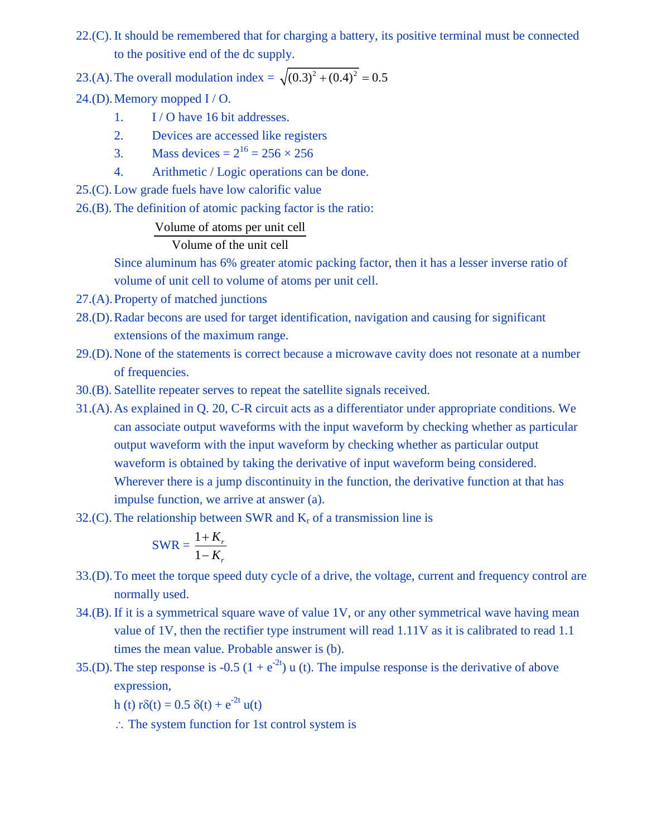22.(C). It should be remembered that for charging a battery, its positive terminal must be connected to the positive end of the dc supply. 22.(C). It should be remembered that for charging a battery, its positive terminal must be connected<br>to the positive end of the dc supply.<br>23.(A). The overall modulation index =  $\sqrt{(0.3)^2 + (0.4)^2} = 0.5$ <br>24.(D). Memory mopp

24.(D).Memory mopped I / O.

- 1. I / O have 16 bit addresses.
- 2. Devices are accessed like registers
- 3. Mass devices  $= 2^{16} = 256 \times 256$
- 4. Arithmetic / Logic operations can be done.
- 25.(C). Low grade fuels have low calorific value
- 26.(B). The definition of atomic packing factor is the ratio:

### Volume of atoms per unit cell

### Volume of the unit cell

Since aluminum has 6% greater atomic packing factor, then it has a lesser inverse ratio of volume of unit cell to volume of atoms per unit cell.

- 27.(A).Property of matched junctions
- 28.(D).Radar becons are used for target identification, navigation and causing for significant extensions of the maximum range.
- 29.(D).None of the statements is correct because a microwave cavity does not resonate at a number of frequencies.
- 30.(B). Satellite repeater serves to repeat the satellite signals received.
- 31.(A).As explained in Q. 20, C-R circuit acts as a differentiator under appropriate conditions. We can associate output waveforms with the input waveform by checking whether as particular output waveform with the input waveform by checking whether as particular output waveform is obtained by taking the derivative of input waveform being considered. Wherever there is a jump discontinuity in the function, the derivative function at that has impulse function, we arrive at answer (a).
- 32.(C). The relationship between SWR and  $K_r$  of a transmission line is

$$
SWR = \frac{1 + K_r}{1 - K_r}
$$

- 33.(D).To meet the torque speed duty cycle of a drive, the voltage, current and frequency control are normally used.
- 34.(B). If it is a symmetrical square wave of value 1V, or any other symmetrical wave having mean value of 1V, then the rectifier type instrument will read 1.11V as it is calibrated to read 1.1 times the mean value. Probable answer is (b).
- 35.(D). The step response is -0.5 (1 +  $e^{-2t}$ ) u (t). The impulse response is the derivative of above expression,
	- h (t)  $r\delta(t) = 0.5 \delta(t) + e^{-2t} u(t)$
	- $\therefore$  The system function for 1st control system is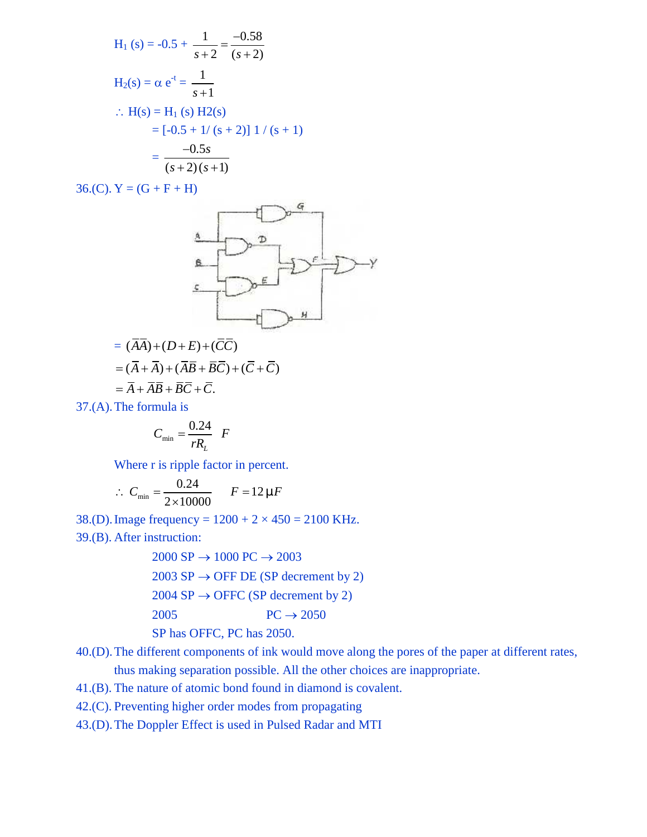H<sub>1</sub> (s) = -0.5 + 
$$
\frac{1}{s+2} = \frac{-0.58}{(s+2)}
$$
  
\nH<sub>2</sub>(s) =  $\alpha e^{-t} = \frac{1}{s+1}$   
\n $\therefore$  H(s) = H<sub>1</sub> (s) H2(s)  
\n= [-0.5 + 1/(s + 2)] 1/(s + 1)  
\n=  $\frac{-0.5s}{(s+2)(s+1)}$   
\nY = (G + F + H)

 $36.(C). Y = (G + F + H)$ 



$$
= (\overline{A}\overline{A}) + (D + E) + (\overline{C}\overline{C})
$$
  

$$
= (\overline{A} + \overline{A}) + (\overline{A}\overline{B} + \overline{B}\overline{C}) + (\overline{C} + \overline{C})
$$
  

$$
= \overline{A} + \overline{A}\overline{B} + \overline{B}\overline{C} + \overline{C}.
$$

37.(A).The formula is

$$
C_{\min} = \frac{0.24}{rR_L} \quad F
$$

Where r is ripple factor in percent.

$$
\therefore C_{\min} = \frac{0.24}{2 \times 10000} \qquad F = 12 \sim F
$$

38.(D). Image frequency =  $1200 + 2 \times 450 = 2100$  KHz. 39.(B). After instruction:

> $2000 \text{ SP} \rightarrow 1000 \text{ PC} \rightarrow 2003$  $2003$  SP  $\rightarrow$  OFF DE (SP decrement by 2)  $2004$  SP  $\rightarrow$  OFFC (SP decrement by 2) 2005  $PC \rightarrow 2050$ SP has OFFC, PC has 2050.

40.(D).The different components of ink would move along the pores of the paper at different rates, thus making separation possible. All the other choices are inappropriate.

- 41.(B). The nature of atomic bond found in diamond is covalent.
- 42.(C). Preventing higher order modes from propagating
- 43.(D).The Doppler Effect is used in Pulsed Radar and MTI